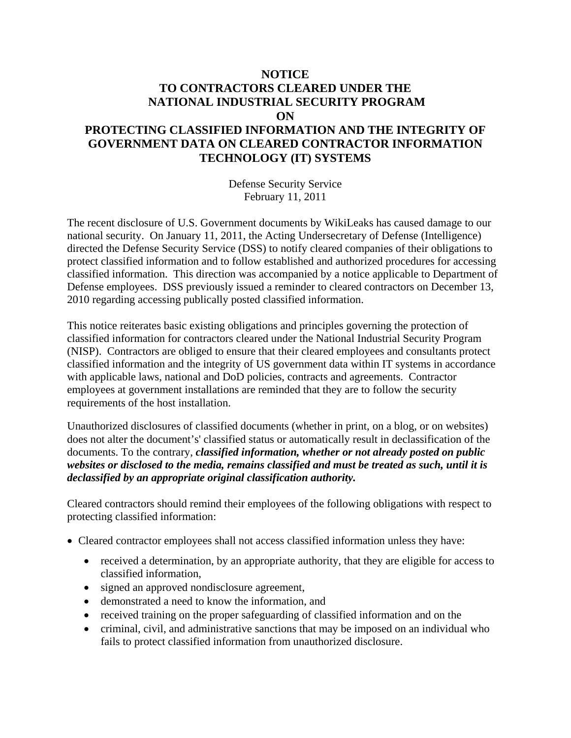## **NOTICE TO CONTRACTORS CLEARED UNDER THE NATIONAL INDUSTRIAL SECURITY PROGRAM ON**

## **PROTECTING CLASSIFIED INFORMATION AND THE INTEGRITY OF GOVERNMENT DATA ON CLEARED CONTRACTOR INFORMATION TECHNOLOGY (IT) SYSTEMS**

Defense Security Service February 11, 2011

The recent disclosure of U.S. Government documents by WikiLeaks has caused damage to our national security. On January 11, 2011, the Acting Undersecretary of Defense (Intelligence) directed the Defense Security Service (DSS) to notify cleared companies of their obligations to protect classified information and to follow established and authorized procedures for accessing classified information. This direction was accompanied by a notice applicable to Department of Defense employees. DSS previously issued a reminder to cleared contractors on December 13, 2010 regarding accessing publically posted classified information.

This notice reiterates basic existing obligations and principles governing the protection of classified information for contractors cleared under the National Industrial Security Program (NISP). Contractors are obliged to ensure that their cleared employees and consultants protect classified information and the integrity of US government data within IT systems in accordance with applicable laws, national and DoD policies, contracts and agreements. Contractor employees at government installations are reminded that they are to follow the security requirements of the host installation.

Unauthorized disclosures of classified documents (whether in print, on a blog, or on websites) does not alter the document's' classified status or automatically result in declassification of the documents. To the contrary, *classified information, whether or not already posted on public websites or disclosed to the media, remains classified and must be treated as such, until it is declassified by an appropriate original classification authority.* 

Cleared contractors should remind their employees of the following obligations with respect to protecting classified information:

- Cleared contractor employees shall not access classified information unless they have:
	- received a determination, by an appropriate authority, that they are eligible for access to classified information,
	- signed an approved nondisclosure agreement,
	- demonstrated a need to know the information, and
	- received training on the proper safeguarding of classified information and on the
	- criminal, civil, and administrative sanctions that may be imposed on an individual who fails to protect classified information from unauthorized disclosure.